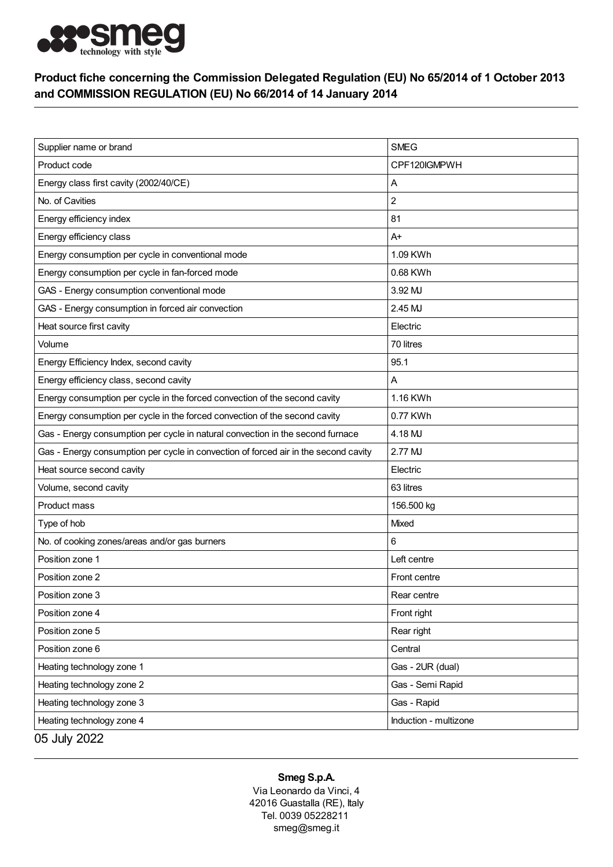

## Product fiche concerning the Commission Delegated Regulation (EU) No 65/2014 of 1 October 2013 and COMMISSION REGULATION (EU) No 66/2014 of 14 January 2014

| Supplier name or brand                                                              | <b>SMEG</b>           |
|-------------------------------------------------------------------------------------|-----------------------|
| Product code                                                                        | CPF120IGMPWH          |
| Energy class first cavity (2002/40/CE)                                              | Α                     |
| No. of Cavities                                                                     | $\overline{c}$        |
| Energy efficiency index                                                             | 81                    |
| Energy efficiency class                                                             | $A+$                  |
| Energy consumption per cycle in conventional mode                                   | 1.09 KWh              |
| Energy consumption per cycle in fan-forced mode                                     | 0.68 KWh              |
| GAS - Energy consumption conventional mode                                          | 3.92 MJ               |
| GAS - Energy consumption in forced air convection                                   | 2.45 MJ               |
| Heat source first cavity                                                            | Electric              |
| Volume                                                                              | 70 litres             |
| Energy Efficiency Index, second cavity                                              | 95.1                  |
| Energy efficiency class, second cavity                                              | Α                     |
| Energy consumption per cycle in the forced convection of the second cavity          | 1.16 KWh              |
| Energy consumption per cycle in the forced convection of the second cavity          | 0.77 KWh              |
| Gas - Energy consumption per cycle in natural convection in the second furnace      | 4.18 MJ               |
| Gas - Energy consumption per cycle in convection of forced air in the second cavity | 2.77 MJ               |
| Heat source second cavity                                                           | Electric              |
| Volume, second cavity                                                               | 63 litres             |
| Product mass                                                                        | 156.500 kg            |
| Type of hob                                                                         | <b>Mixed</b>          |
| No. of cooking zones/areas and/or gas burners                                       | 6                     |
| Position zone 1                                                                     | Left centre           |
| Position zone 2                                                                     | Front centre          |
| Position zone 3                                                                     | Rear centre           |
| Position zone 4                                                                     | Front right           |
| Position zone 5                                                                     | Rear right            |
| Position zone 6                                                                     | Central               |
| Heating technology zone 1                                                           | Gas - 2UR (dual)      |
| Heating technology zone 2                                                           | Gas - Semi Rapid      |
| Heating technology zone 3                                                           | Gas - Rapid           |
| Heating technology zone 4                                                           | Induction - multizone |
| 05 July 2022                                                                        |                       |

## Smeg S.p.A.

Via Leonardo da Vinci, 4 42016 Guastalla (RE), Italy Tel. 0039 05228211 smeg@smeg.it